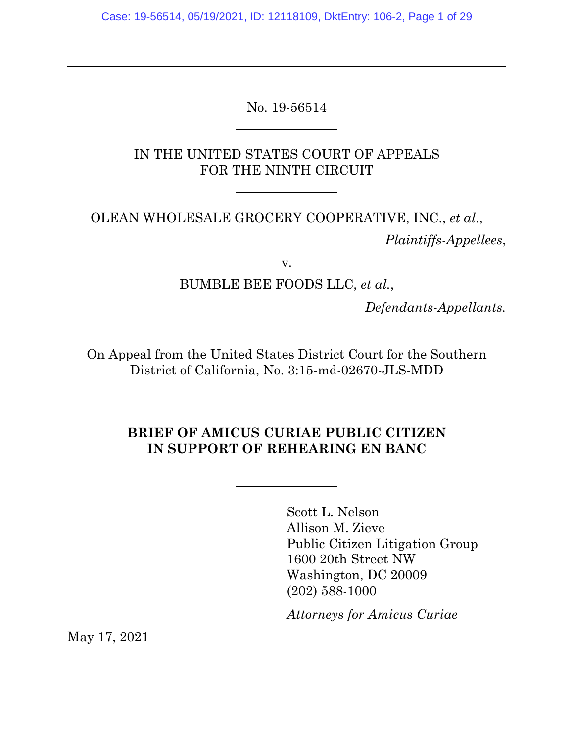Case: 19-56514, 05/19/2021, ID: 12118109, DktEntry: 106-2, Page 1 of 29

No. 19-56514

 $\overline{a}$ 

 $\overline{a}$ 

 $\overline{a}$ 

IN THE UNITED STATES COURT OF APPEALS FOR THE NINTH CIRCUIT

OLEAN WHOLESALE GROCERY COOPERATIVE, INC., *et al*.,

*Plaintiffs-Appellees*,

v.

BUMBLE BEE FOODS LLC, *et al.*,

*Defendants-Appellants.* 

On Appeal from the United States District Court for the Southern District of California, No. 3:15-md-02670-JLS-MDD

### **BRIEF OF AMICUS CURIAE PUBLIC CITIZEN IN SUPPORT OF REHEARING EN BANC**

Scott L. Nelson Allison M. Zieve Public Citizen Litigation Group 1600 20th Street NW Washington, DC 20009 (202) 588-1000

*Attorneys for Amicus Curiae*

May 17, 2021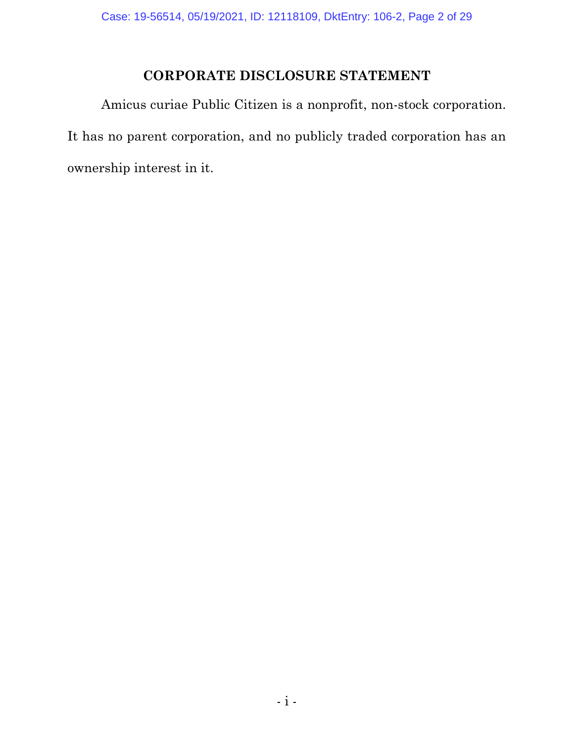## **CORPORATE DISCLOSURE STATEMENT**

Amicus curiae Public Citizen is a nonprofit, non-stock corporation. It has no parent corporation, and no publicly traded corporation has an ownership interest in it.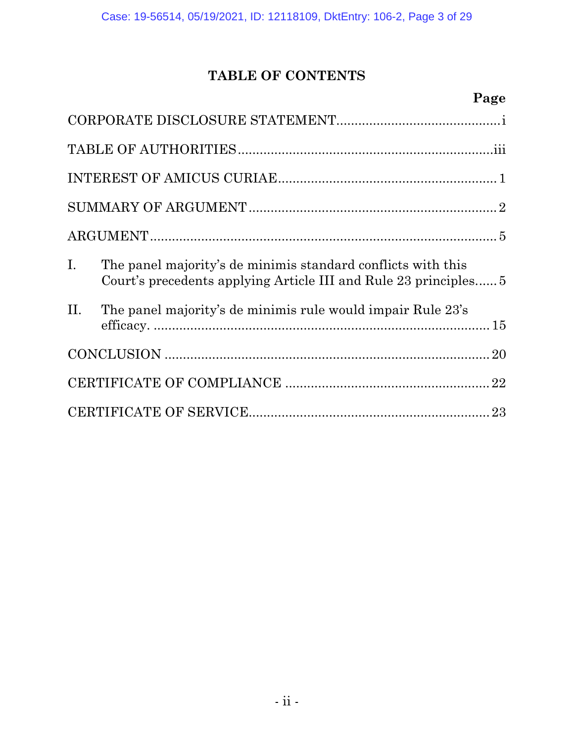# **TABLE OF CONTENTS**

# **Page**

| $I_{\cdot}$ | The panel majority's de minimis standard conflicts with this<br>Court's precedents applying Article III and Rule 23 principles |  |  |
|-------------|--------------------------------------------------------------------------------------------------------------------------------|--|--|
| II.         | The panel majority's de minimis rule would impair Rule 23's                                                                    |  |  |
|             |                                                                                                                                |  |  |
|             |                                                                                                                                |  |  |
|             |                                                                                                                                |  |  |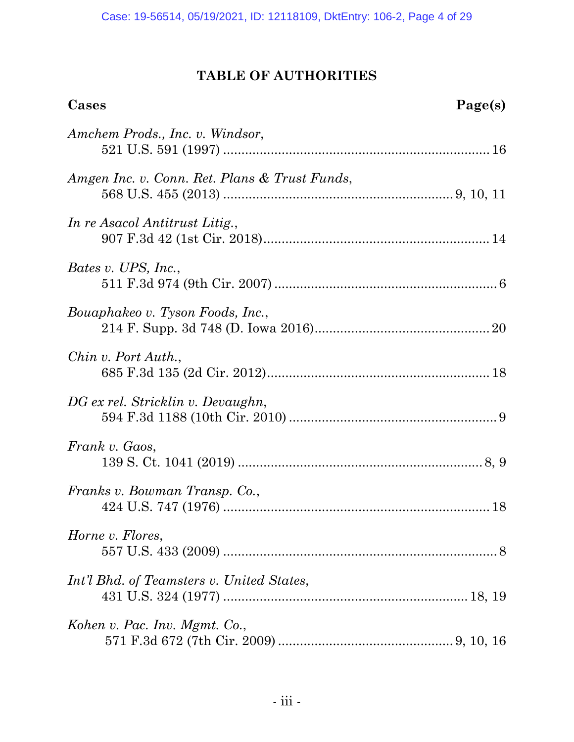# **TABLE OF AUTHORITIES**

| Cases                                         | Page(s) |
|-----------------------------------------------|---------|
| Amchem Prods., Inc. v. Windsor,               |         |
| Amgen Inc. v. Conn. Ret. Plans & Trust Funds, |         |
| In re Asacol Antitrust Litig.,                |         |
| Bates v. UPS, Inc.,                           |         |
| Bouaphakeo v. Tyson Foods, Inc.,              |         |
| Chin v. Port Auth.,                           |         |
| DG ex rel. Stricklin v. Devaughn,             |         |
| Frank v. Gaos,                                |         |
| Franks v. Bowman Transp. Co.,                 |         |
| Horne v. Flores,                              |         |
| Int'l Bhd. of Teamsters v. United States,     |         |
| Kohen v. Pac. Inv. Mgmt. Co.,                 |         |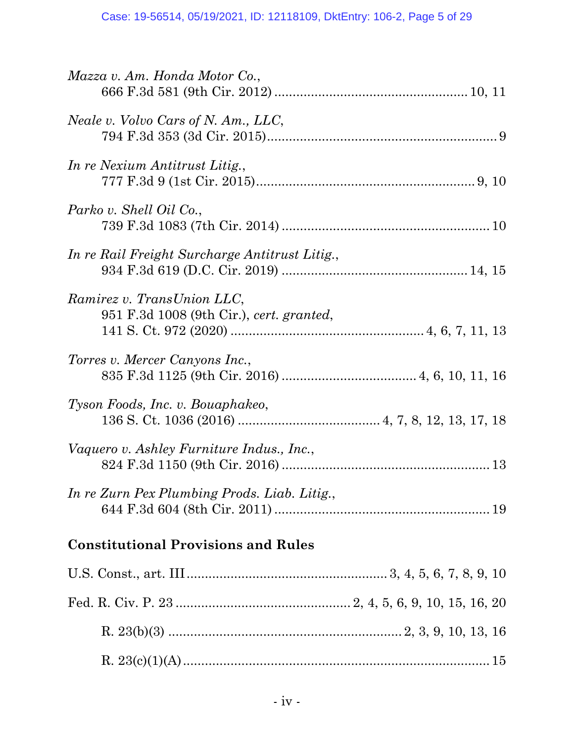| Mazza v. Am. Honda Motor Co.,                                          |
|------------------------------------------------------------------------|
| Neale v. Volvo Cars of N. Am., LLC,                                    |
| In re Nexium Antitrust Litig.,                                         |
| Parko v. Shell Oil Co.,                                                |
| In re Rail Freight Surcharge Antitrust Litig.,                         |
| Ramirez v. TransUnion LLC,<br>951 F.3d 1008 (9th Cir.), cert. granted, |
| Torres v. Mercer Canyons Inc.,                                         |
| Tyson Foods, Inc. v. Bouaphakeo,                                       |
| Vaquero v. Ashley Furniture Indus., Inc.,                              |
| In re Zurn Pex Plumbing Prods. Liab. Litig.,                           |
| <b>Constitutional Provisions and Rules</b>                             |
|                                                                        |
|                                                                        |
|                                                                        |
|                                                                        |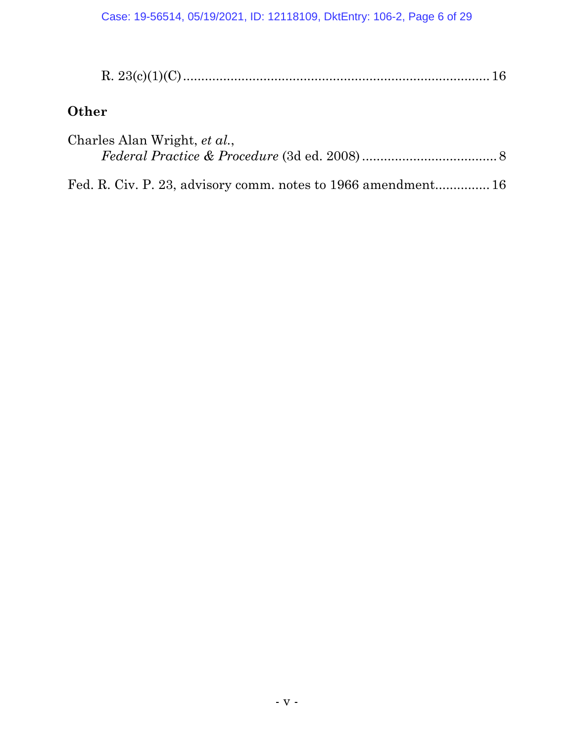# **Other**

| Charles Alan Wright, et al., |  |
|------------------------------|--|
|                              |  |

Fed. R. Civ. P. 23, advisory comm. notes to 1966 amendment............... 16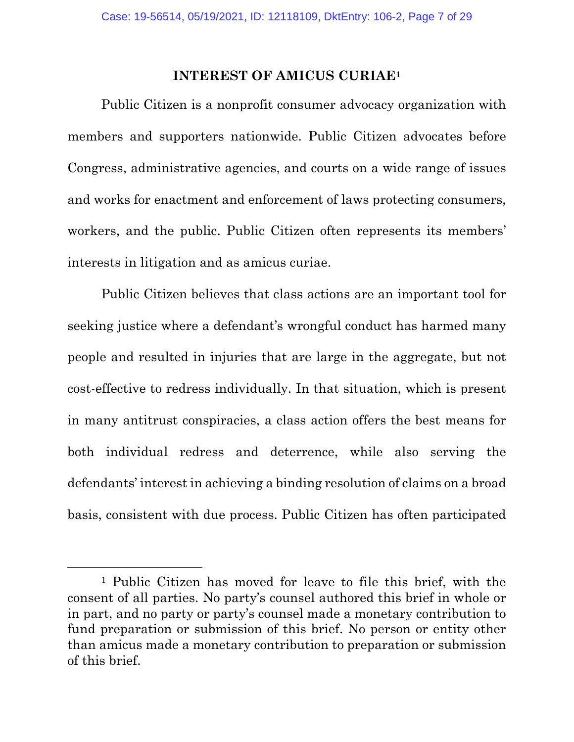#### **INTEREST OF AMICUS CURIAE1**

Public Citizen is a nonprofit consumer advocacy organization with members and supporters nationwide. Public Citizen advocates before Congress, administrative agencies, and courts on a wide range of issues and works for enactment and enforcement of laws protecting consumers, workers, and the public. Public Citizen often represents its members' interests in litigation and as amicus curiae.

Public Citizen believes that class actions are an important tool for seeking justice where a defendant's wrongful conduct has harmed many people and resulted in injuries that are large in the aggregate, but not cost-effective to redress individually. In that situation, which is present in many antitrust conspiracies, a class action offers the best means for both individual redress and deterrence, while also serving the defendants' interest in achieving a binding resolution of claims on a broad basis, consistent with due process. Public Citizen has often participated

<sup>1</sup> Public Citizen has moved for leave to file this brief, with the consent of all parties. No party's counsel authored this brief in whole or in part, and no party or party's counsel made a monetary contribution to fund preparation or submission of this brief. No person or entity other than amicus made a monetary contribution to preparation or submission of this brief.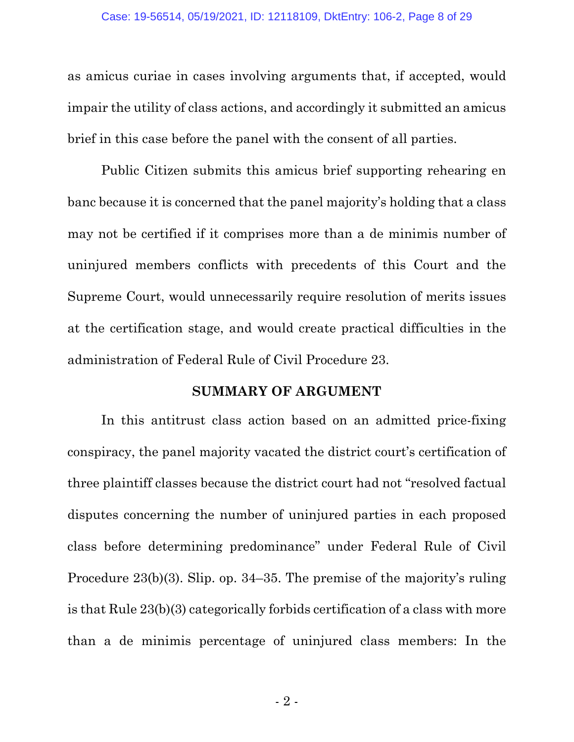as amicus curiae in cases involving arguments that, if accepted, would impair the utility of class actions, and accordingly it submitted an amicus brief in this case before the panel with the consent of all parties.

Public Citizen submits this amicus brief supporting rehearing en banc because it is concerned that the panel majority's holding that a class may not be certified if it comprises more than a de minimis number of uninjured members conflicts with precedents of this Court and the Supreme Court, would unnecessarily require resolution of merits issues at the certification stage, and would create practical difficulties in the administration of Federal Rule of Civil Procedure 23.

#### **SUMMARY OF ARGUMENT**

In this antitrust class action based on an admitted price-fixing conspiracy, the panel majority vacated the district court's certification of three plaintiff classes because the district court had not "resolved factual disputes concerning the number of uninjured parties in each proposed class before determining predominance" under Federal Rule of Civil Procedure 23(b)(3). Slip. op. 34–35. The premise of the majority's ruling is that Rule 23(b)(3) categorically forbids certification of a class with more than a de minimis percentage of uninjured class members: In the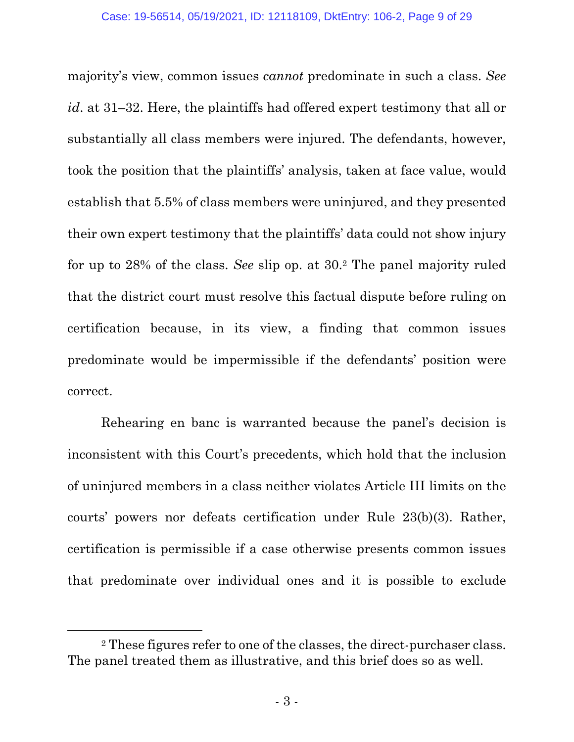majority's view, common issues *cannot* predominate in such a class. *See id*. at 31–32. Here, the plaintiffs had offered expert testimony that all or substantially all class members were injured. The defendants, however, took the position that the plaintiffs' analysis, taken at face value, would establish that 5.5% of class members were uninjured, and they presented their own expert testimony that the plaintiffs' data could not show injury for up to 28% of the class. *See* slip op. at 30.2 The panel majority ruled that the district court must resolve this factual dispute before ruling on certification because, in its view, a finding that common issues predominate would be impermissible if the defendants' position were correct.

Rehearing en banc is warranted because the panel's decision is inconsistent with this Court's precedents, which hold that the inclusion of uninjured members in a class neither violates Article III limits on the courts' powers nor defeats certification under Rule 23(b)(3). Rather, certification is permissible if a case otherwise presents common issues that predominate over individual ones and it is possible to exclude

<sup>2</sup> These figures refer to one of the classes, the direct-purchaser class. The panel treated them as illustrative, and this brief does so as well.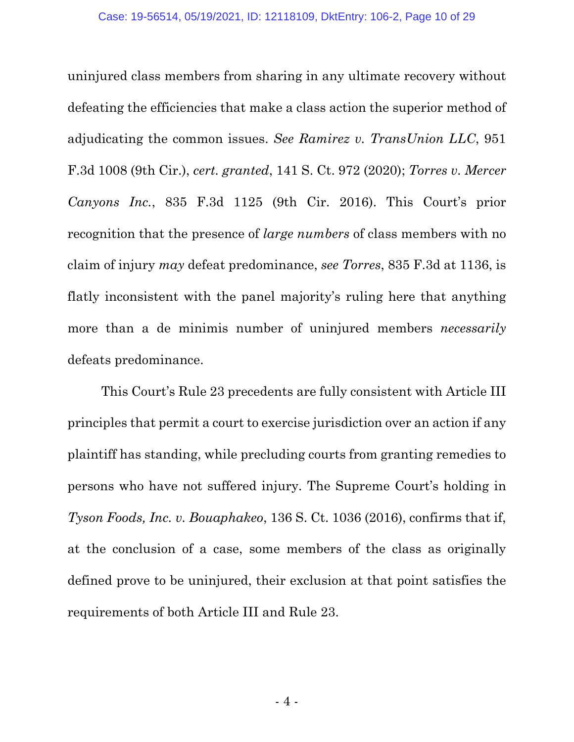uninjured class members from sharing in any ultimate recovery without defeating the efficiencies that make a class action the superior method of adjudicating the common issues. *See Ramirez v. TransUnion LLC*, 951 F.3d 1008 (9th Cir.), *cert. granted*, 141 S. Ct. 972 (2020); *Torres v. Mercer Canyons Inc.*, 835 F.3d 1125 (9th Cir. 2016). This Court's prior recognition that the presence of *large numbers* of class members with no claim of injury *may* defeat predominance, *see Torres*, 835 F.3d at 1136, is flatly inconsistent with the panel majority's ruling here that anything more than a de minimis number of uninjured members *necessarily* defeats predominance.

This Court's Rule 23 precedents are fully consistent with Article III principles that permit a court to exercise jurisdiction over an action if any plaintiff has standing, while precluding courts from granting remedies to persons who have not suffered injury. The Supreme Court's holding in *Tyson Foods, Inc. v. Bouaphakeo*, 136 S. Ct. 1036 (2016), confirms that if, at the conclusion of a case, some members of the class as originally defined prove to be uninjured, their exclusion at that point satisfies the requirements of both Article III and Rule 23.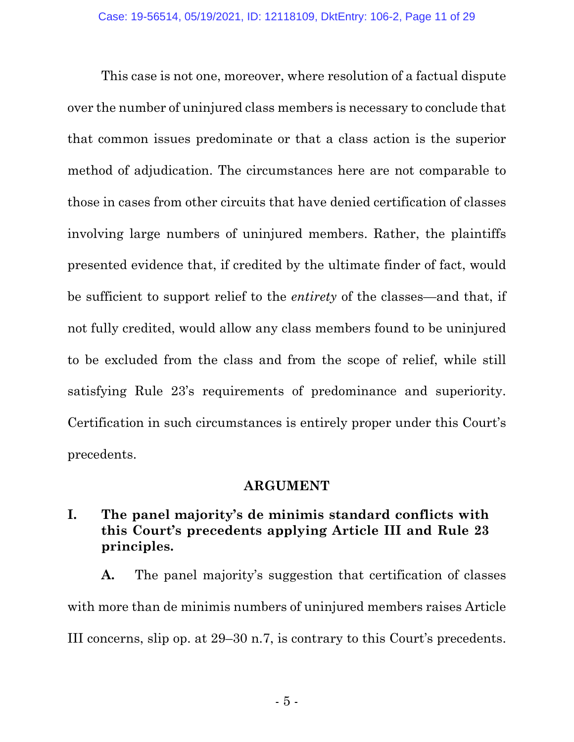This case is not one, moreover, where resolution of a factual dispute over the number of uninjured class members is necessary to conclude that that common issues predominate or that a class action is the superior method of adjudication. The circumstances here are not comparable to those in cases from other circuits that have denied certification of classes involving large numbers of uninjured members. Rather, the plaintiffs presented evidence that, if credited by the ultimate finder of fact, would be sufficient to support relief to the *entirety* of the classes—and that, if not fully credited, would allow any class members found to be uninjured to be excluded from the class and from the scope of relief, while still satisfying Rule 23's requirements of predominance and superiority. Certification in such circumstances is entirely proper under this Court's precedents.

### **ARGUMENT**

### **I. The panel majority's de minimis standard conflicts with this Court's precedents applying Article III and Rule 23 principles.**

**A.** The panel majority's suggestion that certification of classes with more than de minimis numbers of uninjured members raises Article III concerns, slip op. at 29–30 n.7, is contrary to this Court's precedents.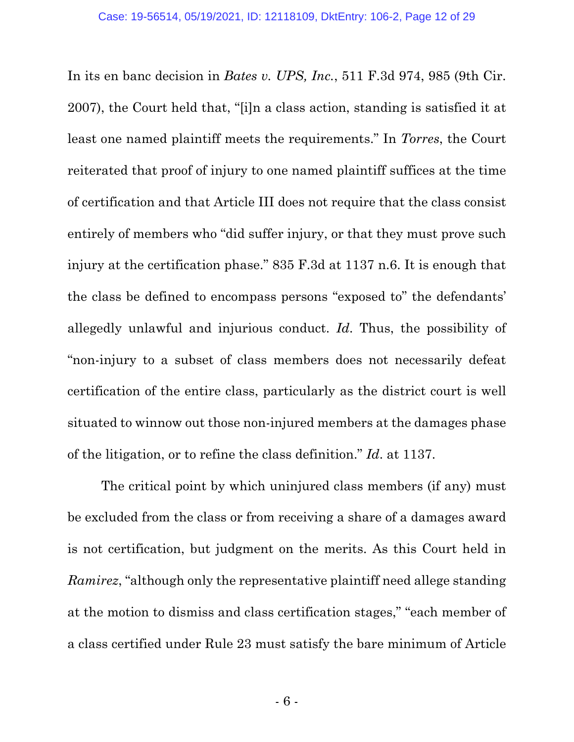In its en banc decision in *Bates v. UPS, Inc.*, 511 F.3d 974, 985 (9th Cir. 2007), the Court held that, "[i]n a class action, standing is satisfied it at least one named plaintiff meets the requirements." In *Torres*, the Court reiterated that proof of injury to one named plaintiff suffices at the time of certification and that Article III does not require that the class consist entirely of members who "did suffer injury, or that they must prove such injury at the certification phase." 835 F.3d at 1137 n.6. It is enough that the class be defined to encompass persons "exposed to" the defendants' allegedly unlawful and injurious conduct. *Id*. Thus, the possibility of "non-injury to a subset of class members does not necessarily defeat certification of the entire class, particularly as the district court is well situated to winnow out those non-injured members at the damages phase of the litigation, or to refine the class definition." *Id*. at 1137.

The critical point by which uninjured class members (if any) must be excluded from the class or from receiving a share of a damages award is not certification, but judgment on the merits. As this Court held in *Ramirez*, "although only the representative plaintiff need allege standing at the motion to dismiss and class certification stages," "each member of a class certified under Rule 23 must satisfy the bare minimum of Article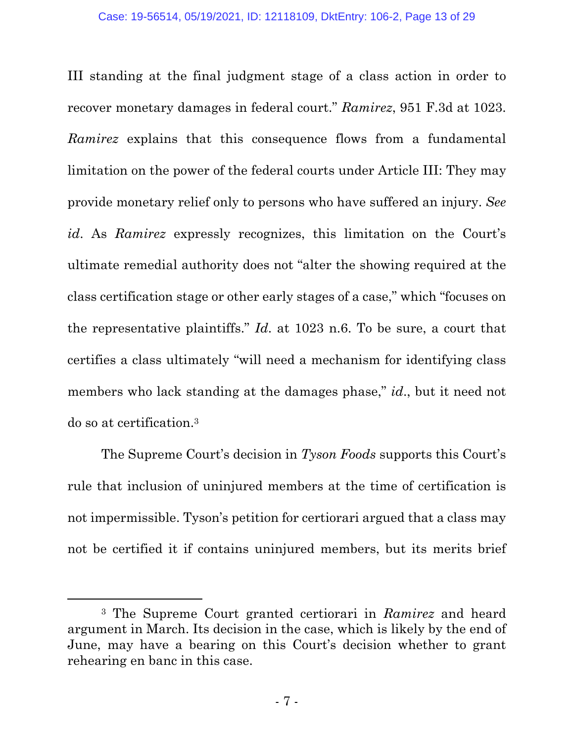III standing at the final judgment stage of a class action in order to recover monetary damages in federal court." *Ramirez*, 951 F.3d at 1023. *Ramirez* explains that this consequence flows from a fundamental limitation on the power of the federal courts under Article III: They may provide monetary relief only to persons who have suffered an injury. *See id*. As *Ramirez* expressly recognizes, this limitation on the Court's ultimate remedial authority does not "alter the showing required at the class certification stage or other early stages of a case," which "focuses on the representative plaintiffs." *Id*. at 1023 n.6. To be sure, a court that certifies a class ultimately "will need a mechanism for identifying class members who lack standing at the damages phase," *id*., but it need not do so at certification.3

The Supreme Court's decision in *Tyson Foods* supports this Court's rule that inclusion of uninjured members at the time of certification is not impermissible. Tyson's petition for certiorari argued that a class may not be certified it if contains uninjured members, but its merits brief

<sup>3</sup> The Supreme Court granted certiorari in *Ramirez* and heard argument in March. Its decision in the case, which is likely by the end of June, may have a bearing on this Court's decision whether to grant rehearing en banc in this case.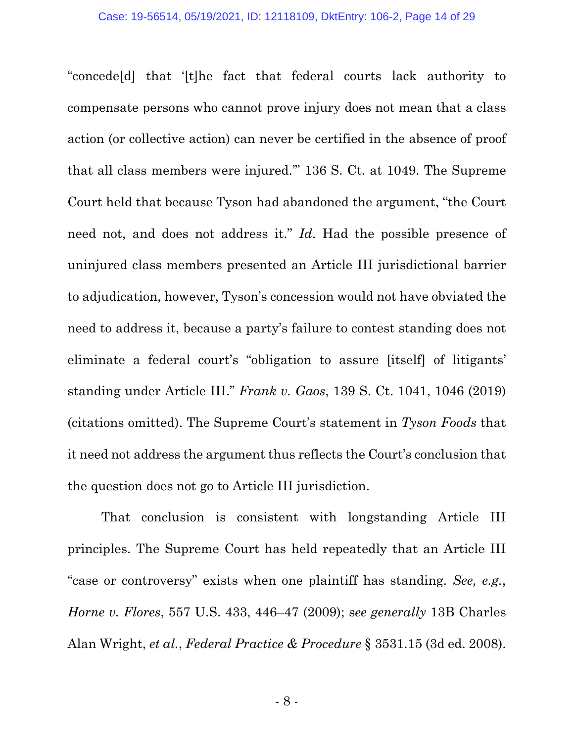"concede[d] that '[t]he fact that federal courts lack authority to compensate persons who cannot prove injury does not mean that a class action (or collective action) can never be certified in the absence of proof that all class members were injured.'" 136 S. Ct. at 1049. The Supreme Court held that because Tyson had abandoned the argument, "the Court need not, and does not address it." *Id*. Had the possible presence of uninjured class members presented an Article III jurisdictional barrier to adjudication, however, Tyson's concession would not have obviated the need to address it, because a party's failure to contest standing does not eliminate a federal court's "obligation to assure [itself] of litigants' standing under Article III." *Frank v. Gaos*, 139 S. Ct. 1041, 1046 (2019) (citations omitted). The Supreme Court's statement in *Tyson Foods* that it need not address the argument thus reflects the Court's conclusion that the question does not go to Article III jurisdiction.

That conclusion is consistent with longstanding Article III principles. The Supreme Court has held repeatedly that an Article III "case or controversy" exists when one plaintiff has standing. *See, e.g.*, *Horne v. Flores*, 557 U.S. 433, 446–47 (2009); s*ee generally* 13B Charles Alan Wright, *et al.*, *Federal Practice & Procedure* § 3531.15 (3d ed. 2008).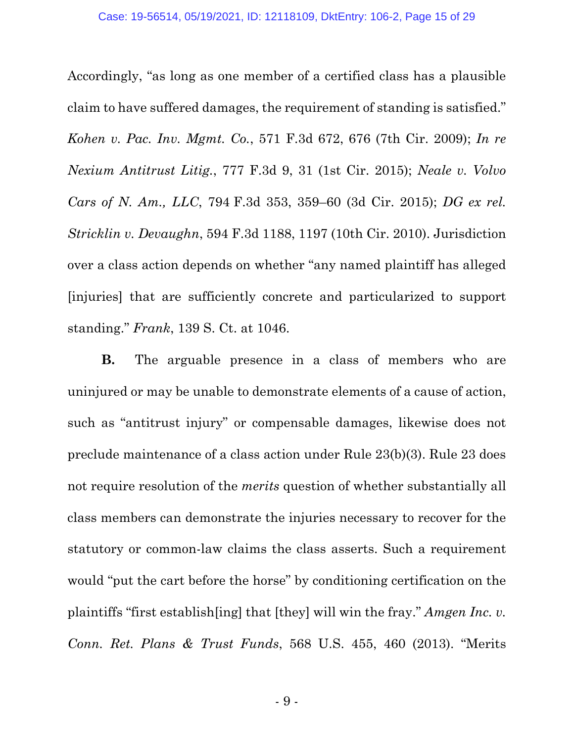Accordingly, "as long as one member of a certified class has a plausible claim to have suffered damages, the requirement of standing is satisfied." *Kohen v. Pac. Inv. Mgmt. Co.*, 571 F.3d 672, 676 (7th Cir. 2009); *In re Nexium Antitrust Litig.*, 777 F.3d 9, 31 (1st Cir. 2015); *Neale v. Volvo Cars of N. Am., LLC*, 794 F.3d 353, 359–60 (3d Cir. 2015); *DG ex rel. Stricklin v. Devaughn*, 594 F.3d 1188, 1197 (10th Cir. 2010). Jurisdiction over a class action depends on whether "any named plaintiff has alleged [injuries] that are sufficiently concrete and particularized to support standing." *Frank*, 139 S. Ct. at 1046.

**B.** The arguable presence in a class of members who are uninjured or may be unable to demonstrate elements of a cause of action, such as "antitrust injury" or compensable damages, likewise does not preclude maintenance of a class action under Rule 23(b)(3). Rule 23 does not require resolution of the *merits* question of whether substantially all class members can demonstrate the injuries necessary to recover for the statutory or common-law claims the class asserts. Such a requirement would "put the cart before the horse" by conditioning certification on the plaintiffs "first establish[ing] that [they] will win the fray." *Amgen Inc. v. Conn. Ret. Plans & Trust Funds*, 568 U.S. 455, 460 (2013). "Merits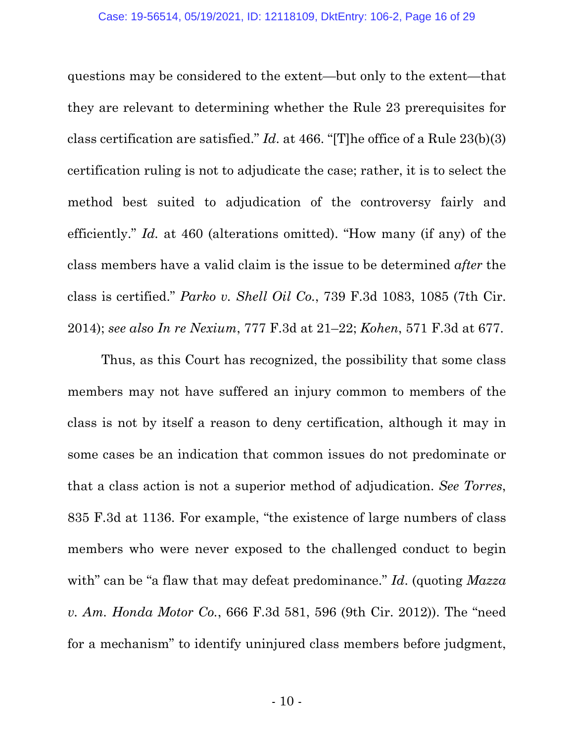questions may be considered to the extent—but only to the extent—that they are relevant to determining whether the Rule 23 prerequisites for class certification are satisfied." *Id*. at 466. "[T]he office of a Rule 23(b)(3) certification ruling is not to adjudicate the case; rather, it is to select the method best suited to adjudication of the controversy fairly and efficiently." *Id.* at 460 (alterations omitted). "How many (if any) of the class members have a valid claim is the issue to be determined *after* the class is certified." *Parko v. Shell Oil Co.*, 739 F.3d 1083, 1085 (7th Cir. 2014); *see also In re Nexium*, 777 F.3d at 21–22; *Kohen*, 571 F.3d at 677.

Thus, as this Court has recognized, the possibility that some class members may not have suffered an injury common to members of the class is not by itself a reason to deny certification, although it may in some cases be an indication that common issues do not predominate or that a class action is not a superior method of adjudication. *See Torres*, 835 F.3d at 1136. For example, "the existence of large numbers of class members who were never exposed to the challenged conduct to begin with" can be "a flaw that may defeat predominance." *Id.* (quoting *Mazza v. Am. Honda Motor Co.*, 666 F.3d 581, 596 (9th Cir. 2012)). The "need for a mechanism" to identify uninjured class members before judgment,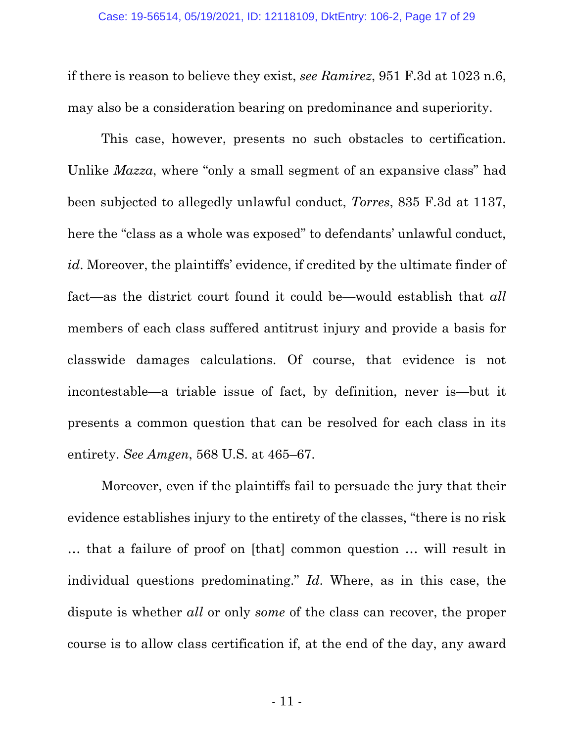if there is reason to believe they exist, *see Ramirez*, 951 F.3d at 1023 n.6, may also be a consideration bearing on predominance and superiority.

This case, however, presents no such obstacles to certification. Unlike *Mazza*, where "only a small segment of an expansive class" had been subjected to allegedly unlawful conduct, *Torres*, 835 F.3d at 1137, here the "class as a whole was exposed" to defendants' unlawful conduct, *id*. Moreover, the plaintiffs' evidence, if credited by the ultimate finder of fact—as the district court found it could be—would establish that *all* members of each class suffered antitrust injury and provide a basis for classwide damages calculations. Of course, that evidence is not incontestable—a triable issue of fact, by definition, never is—but it presents a common question that can be resolved for each class in its entirety. *See Amgen*, 568 U.S. at 465–67.

Moreover, even if the plaintiffs fail to persuade the jury that their evidence establishes injury to the entirety of the classes, "there is no risk … that a failure of proof on [that] common question … will result in individual questions predominating." *Id*. Where, as in this case, the dispute is whether *all* or only *some* of the class can recover, the proper course is to allow class certification if, at the end of the day, any award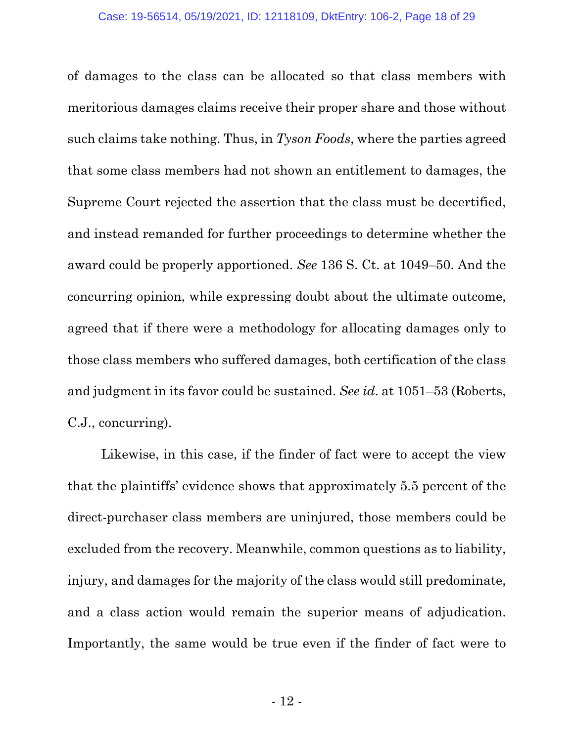of damages to the class can be allocated so that class members with meritorious damages claims receive their proper share and those without such claims take nothing. Thus, in *Tyson Foods*, where the parties agreed that some class members had not shown an entitlement to damages, the Supreme Court rejected the assertion that the class must be decertified, and instead remanded for further proceedings to determine whether the award could be properly apportioned. *See* 136 S. Ct. at 1049–50. And the concurring opinion, while expressing doubt about the ultimate outcome, agreed that if there were a methodology for allocating damages only to those class members who suffered damages, both certification of the class and judgment in its favor could be sustained. *See id*. at 1051–53 (Roberts, C.J., concurring).

Likewise, in this case, if the finder of fact were to accept the view that the plaintiffs' evidence shows that approximately 5.5 percent of the direct-purchaser class members are uninjured, those members could be excluded from the recovery. Meanwhile, common questions as to liability, injury, and damages for the majority of the class would still predominate, and a class action would remain the superior means of adjudication. Importantly, the same would be true even if the finder of fact were to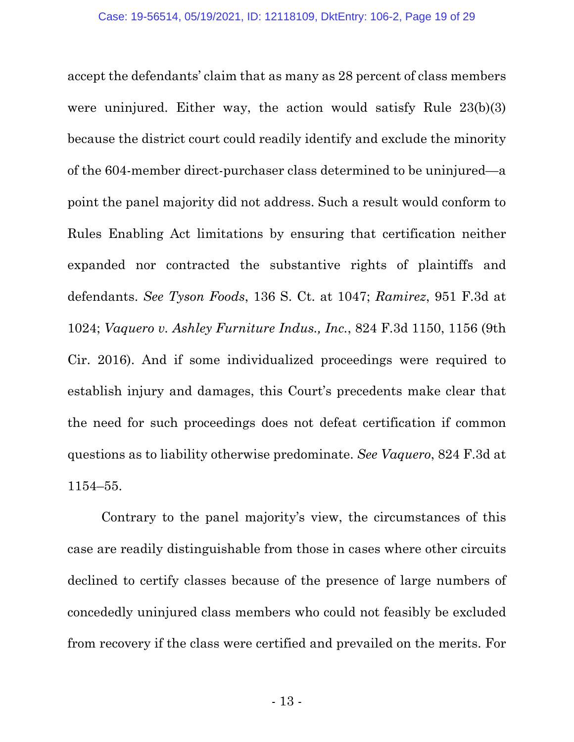accept the defendants' claim that as many as 28 percent of class members were uninjured. Either way, the action would satisfy Rule 23(b)(3) because the district court could readily identify and exclude the minority of the 604-member direct-purchaser class determined to be uninjured—a point the panel majority did not address. Such a result would conform to Rules Enabling Act limitations by ensuring that certification neither expanded nor contracted the substantive rights of plaintiffs and defendants. *See Tyson Foods*, 136 S. Ct. at 1047; *Ramirez*, 951 F.3d at 1024; *Vaquero v. Ashley Furniture Indus., Inc.*, 824 F.3d 1150, 1156 (9th Cir. 2016). And if some individualized proceedings were required to establish injury and damages, this Court's precedents make clear that the need for such proceedings does not defeat certification if common questions as to liability otherwise predominate. *See Vaquero*, 824 F.3d at 1154–55.

Contrary to the panel majority's view, the circumstances of this case are readily distinguishable from those in cases where other circuits declined to certify classes because of the presence of large numbers of concededly uninjured class members who could not feasibly be excluded from recovery if the class were certified and prevailed on the merits. For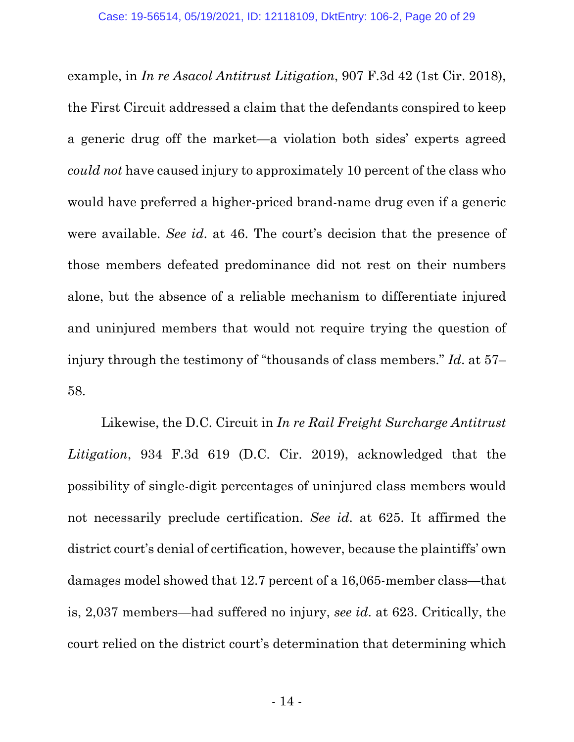example, in *In re Asacol Antitrust Litigation*, 907 F.3d 42 (1st Cir. 2018), the First Circuit addressed a claim that the defendants conspired to keep a generic drug off the market—a violation both sides' experts agreed *could not* have caused injury to approximately 10 percent of the class who would have preferred a higher-priced brand-name drug even if a generic were available. *See id*. at 46. The court's decision that the presence of those members defeated predominance did not rest on their numbers alone, but the absence of a reliable mechanism to differentiate injured and uninjured members that would not require trying the question of injury through the testimony of "thousands of class members." *Id*. at 57– 58.

Likewise, the D.C. Circuit in *In re Rail Freight Surcharge Antitrust Litigation*, 934 F.3d 619 (D.C. Cir. 2019), acknowledged that the possibility of single-digit percentages of uninjured class members would not necessarily preclude certification. *See id*. at 625. It affirmed the district court's denial of certification, however, because the plaintiffs' own damages model showed that 12.7 percent of a 16,065-member class—that is, 2,037 members—had suffered no injury, *see id*. at 623. Critically, the court relied on the district court's determination that determining which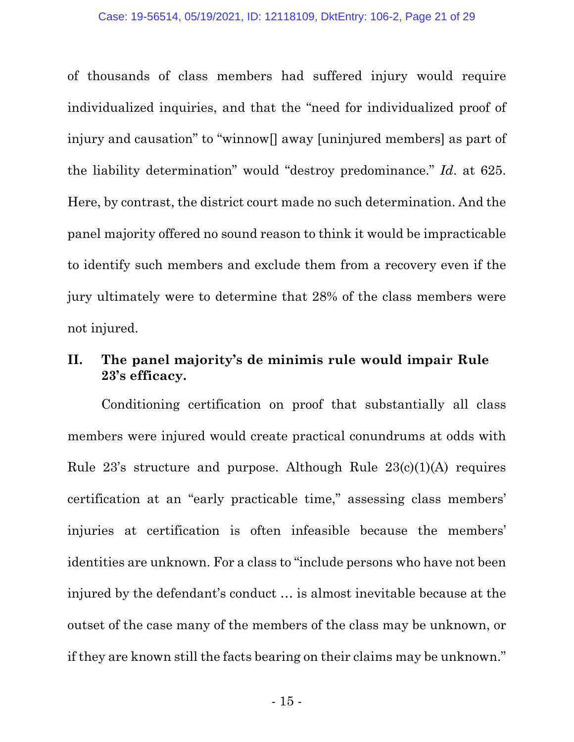of thousands of class members had suffered injury would require individualized inquiries, and that the "need for individualized proof of injury and causation" to "winnow[] away [uninjured members] as part of the liability determination" would "destroy predominance." *Id*. at 625. Here, by contrast, the district court made no such determination. And the panel majority offered no sound reason to think it would be impracticable to identify such members and exclude them from a recovery even if the jury ultimately were to determine that 28% of the class members were not injured.

### **II. The panel majority's de minimis rule would impair Rule 23's efficacy.**

Conditioning certification on proof that substantially all class members were injured would create practical conundrums at odds with Rule  $23$ 's structure and purpose. Although Rule  $23(c)(1)(A)$  requires certification at an "early practicable time," assessing class members' injuries at certification is often infeasible because the members' identities are unknown. For a class to "include persons who have not been injured by the defendant's conduct … is almost inevitable because at the outset of the case many of the members of the class may be unknown, or if they are known still the facts bearing on their claims may be unknown."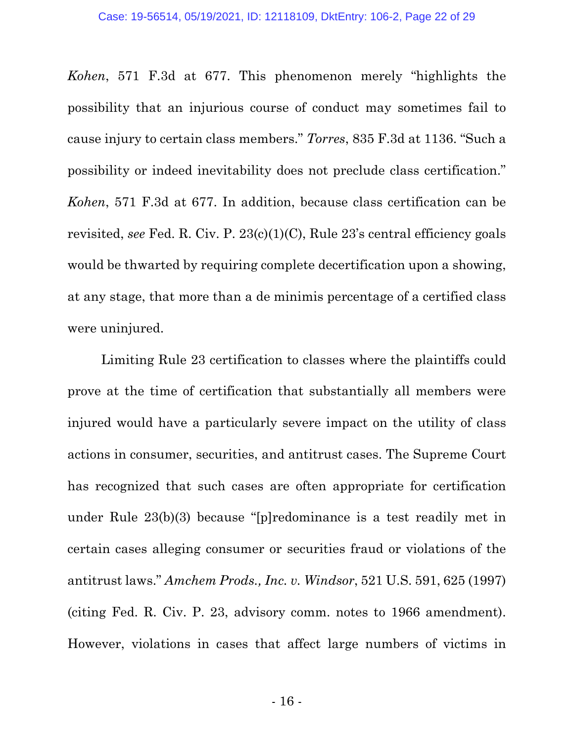*Kohen*, 571 F.3d at 677. This phenomenon merely "highlights the possibility that an injurious course of conduct may sometimes fail to cause injury to certain class members." *Torres*, 835 F.3d at 1136. "Such a possibility or indeed inevitability does not preclude class certification." *Kohen*, 571 F.3d at 677. In addition, because class certification can be revisited, *see* Fed. R. Civ. P. 23(c)(1)(C), Rule 23's central efficiency goals would be thwarted by requiring complete decertification upon a showing, at any stage, that more than a de minimis percentage of a certified class were uninjured.

Limiting Rule 23 certification to classes where the plaintiffs could prove at the time of certification that substantially all members were injured would have a particularly severe impact on the utility of class actions in consumer, securities, and antitrust cases. The Supreme Court has recognized that such cases are often appropriate for certification under Rule 23(b)(3) because "[p]redominance is a test readily met in certain cases alleging consumer or securities fraud or violations of the antitrust laws." *Amchem Prods., Inc. v. Windsor*, 521 U.S. 591, 625 (1997) (citing Fed. R. Civ. P. 23, advisory comm. notes to 1966 amendment). However, violations in cases that affect large numbers of victims in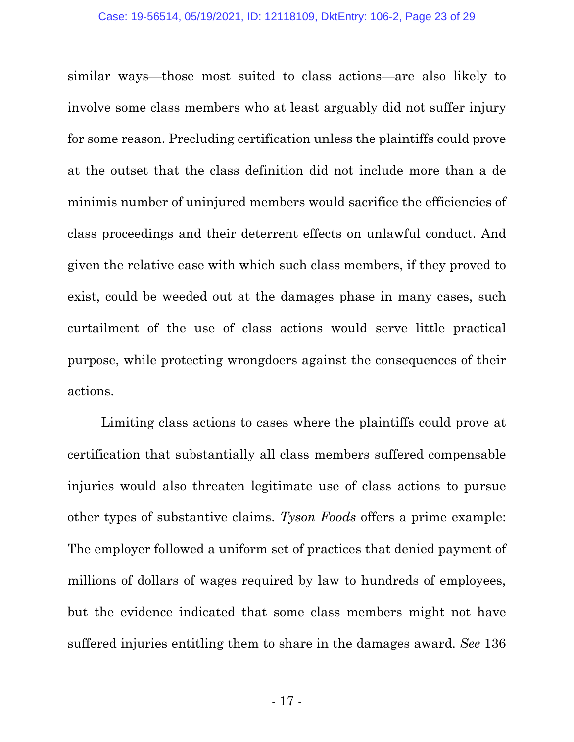similar ways—those most suited to class actions—are also likely to involve some class members who at least arguably did not suffer injury for some reason. Precluding certification unless the plaintiffs could prove at the outset that the class definition did not include more than a de minimis number of uninjured members would sacrifice the efficiencies of class proceedings and their deterrent effects on unlawful conduct. And given the relative ease with which such class members, if they proved to exist, could be weeded out at the damages phase in many cases, such curtailment of the use of class actions would serve little practical purpose, while protecting wrongdoers against the consequences of their actions.

Limiting class actions to cases where the plaintiffs could prove at certification that substantially all class members suffered compensable injuries would also threaten legitimate use of class actions to pursue other types of substantive claims. *Tyson Foods* offers a prime example: The employer followed a uniform set of practices that denied payment of millions of dollars of wages required by law to hundreds of employees, but the evidence indicated that some class members might not have suffered injuries entitling them to share in the damages award. *See* 136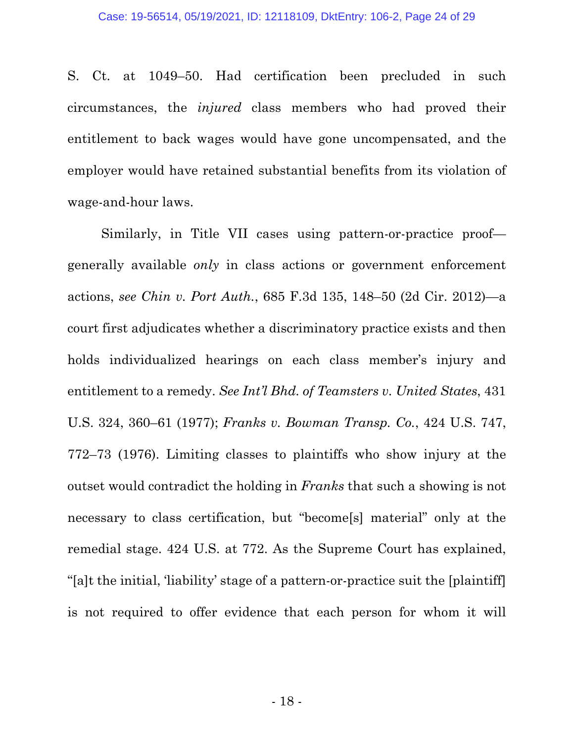S. Ct. at 1049–50. Had certification been precluded in such circumstances, the *injured* class members who had proved their entitlement to back wages would have gone uncompensated, and the employer would have retained substantial benefits from its violation of wage-and-hour laws.

Similarly, in Title VII cases using pattern-or-practice proof generally available *only* in class actions or government enforcement actions, *see Chin v. Port Auth.*, 685 F.3d 135, 148–50 (2d Cir. 2012)—a court first adjudicates whether a discriminatory practice exists and then holds individualized hearings on each class member's injury and entitlement to a remedy. *See Int'l Bhd. of Teamsters v. United States*, 431 U.S. 324, 360–61 (1977); *Franks v. Bowman Transp. Co.*, 424 U.S. 747, 772–73 (1976). Limiting classes to plaintiffs who show injury at the outset would contradict the holding in *Franks* that such a showing is not necessary to class certification, but "become[s] material" only at the remedial stage. 424 U.S. at 772. As the Supreme Court has explained, "[a]t the initial, 'liability' stage of a pattern-or-practice suit the [plaintiff] is not required to offer evidence that each person for whom it will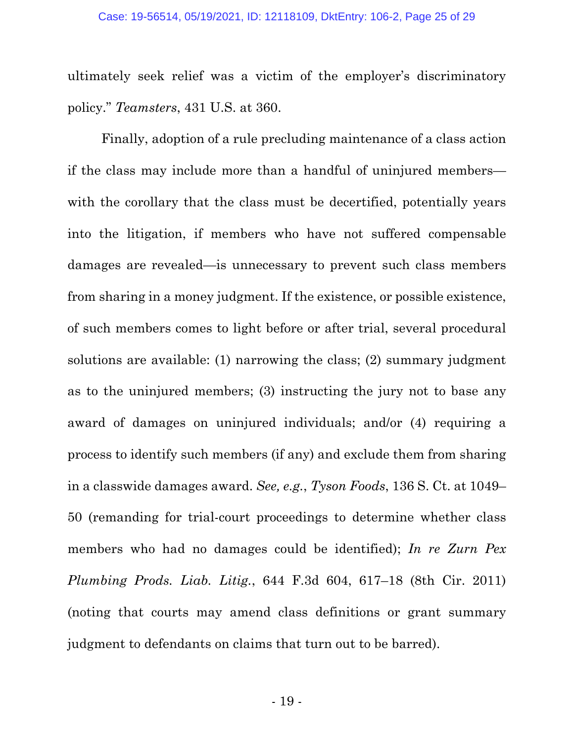ultimately seek relief was a victim of the employer's discriminatory policy." *Teamsters*, 431 U.S. at 360.

Finally, adoption of a rule precluding maintenance of a class action if the class may include more than a handful of uninjured members with the corollary that the class must be decertified, potentially years into the litigation, if members who have not suffered compensable damages are revealed—is unnecessary to prevent such class members from sharing in a money judgment. If the existence, or possible existence, of such members comes to light before or after trial, several procedural solutions are available: (1) narrowing the class; (2) summary judgment as to the uninjured members; (3) instructing the jury not to base any award of damages on uninjured individuals; and/or (4) requiring a process to identify such members (if any) and exclude them from sharing in a classwide damages award. *See, e.g.*, *Tyson Foods*, 136 S. Ct. at 1049– 50 (remanding for trial-court proceedings to determine whether class members who had no damages could be identified); *In re Zurn Pex Plumbing Prods. Liab. Litig.*, 644 F.3d 604, 617–18 (8th Cir. 2011) (noting that courts may amend class definitions or grant summary judgment to defendants on claims that turn out to be barred).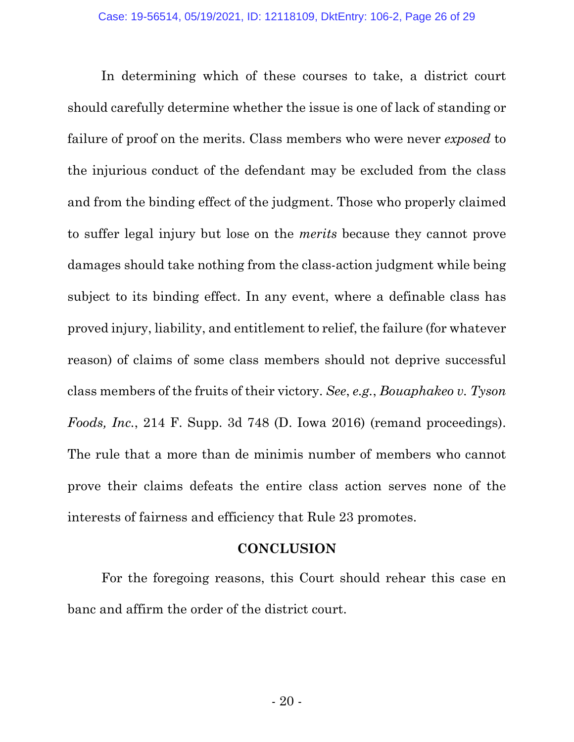In determining which of these courses to take, a district court should carefully determine whether the issue is one of lack of standing or failure of proof on the merits. Class members who were never *exposed* to the injurious conduct of the defendant may be excluded from the class and from the binding effect of the judgment. Those who properly claimed to suffer legal injury but lose on the *merits* because they cannot prove damages should take nothing from the class-action judgment while being subject to its binding effect. In any event, where a definable class has proved injury, liability, and entitlement to relief, the failure (for whatever reason) of claims of some class members should not deprive successful class members of the fruits of their victory. *See*, *e.g.*, *Bouaphakeo v. Tyson Foods, Inc.*, 214 F. Supp. 3d 748 (D. Iowa 2016) (remand proceedings). The rule that a more than de minimis number of members who cannot prove their claims defeats the entire class action serves none of the interests of fairness and efficiency that Rule 23 promotes.

### **CONCLUSION**

For the foregoing reasons, this Court should rehear this case en banc and affirm the order of the district court.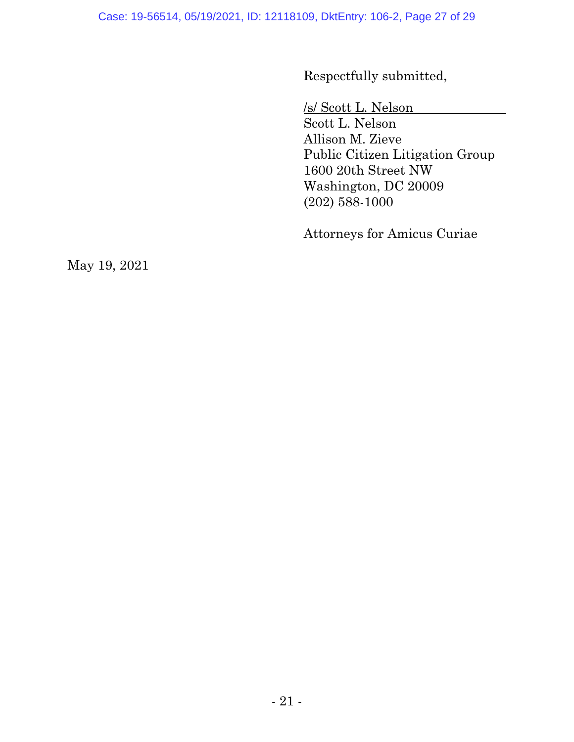Respectfully submitted,

/s/ Scott L. Nelson

Scott L. Nelson Allison M. Zieve Public Citizen Litigation Group 1600 20th Street NW Washington, DC 20009 (202) 588-1000

Attorneys for Amicus Curiae

May 19, 2021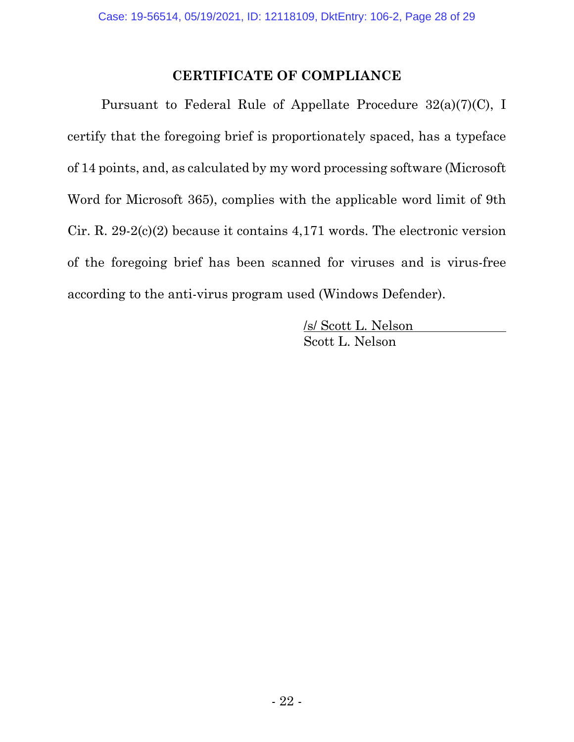### **CERTIFICATE OF COMPLIANCE**

Pursuant to Federal Rule of Appellate Procedure 32(a)(7)(C), I certify that the foregoing brief is proportionately spaced, has a typeface of 14 points, and, as calculated by my word processing software (Microsoft Word for Microsoft 365), complies with the applicable word limit of 9th Cir. R. 29-2(c)(2) because it contains 4,171 words. The electronic version of the foregoing brief has been scanned for viruses and is virus-free according to the anti-virus program used (Windows Defender).

> /s/ Scott L. Nelson Scott L. Nelson